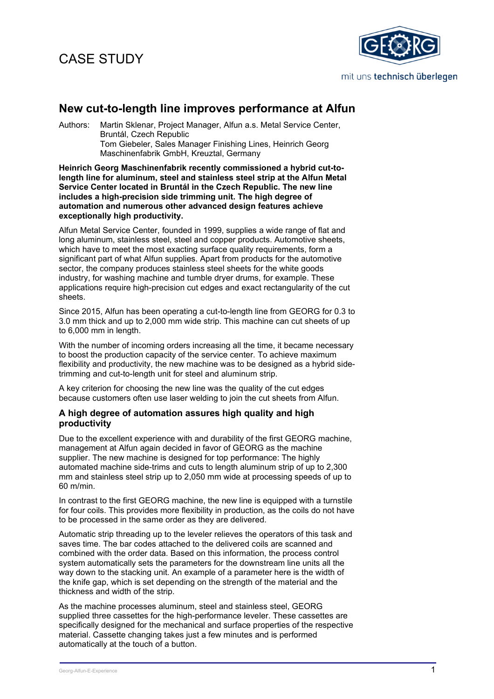# CASE STUDY



### **New cut-to-length line improves performance at Alfun**

Authors: Martin Sklenar, Project Manager, Alfun a.s. Metal Service Center, Bruntál, Czech Republic Tom Giebeler, Sales Manager Finishing Lines, Heinrich Georg Maschinenfabrik GmbH, Kreuztal, Germany

**Heinrich Georg Maschinenfabrik recently commissioned a hybrid cut-tolength line for aluminum, steel and stainless steel strip at the Alfun Metal Service Center located in Bruntál in the Czech Republic. The new line includes a high-precision side trimming unit. The high degree of automation and numerous other advanced design features achieve exceptionally high productivity.** 

Alfun Metal Service Center, founded in 1999, supplies a wide range of flat and long aluminum, stainless steel, steel and copper products. Automotive sheets, which have to meet the most exacting surface quality requirements, form a significant part of what Alfun supplies. Apart from products for the automotive sector, the company produces stainless steel sheets for the white goods industry, for washing machine and tumble dryer drums, for example. These applications require high-precision cut edges and exact rectangularity of the cut sheets.

Since 2015, Alfun has been operating a cut-to-length line from GEORG for 0.3 to 3.0 mm thick and up to 2,000 mm wide strip. This machine can cut sheets of up to 6,000 mm in length.

With the number of incoming orders increasing all the time, it became necessary to boost the production capacity of the service center. To achieve maximum flexibility and productivity, the new machine was to be designed as a hybrid sidetrimming and cut-to-length unit for steel and aluminum strip.

A key criterion for choosing the new line was the quality of the cut edges because customers often use laser welding to join the cut sheets from Alfun.

#### **A high degree of automation assures high quality and high productivity**

Due to the excellent experience with and durability of the first GEORG machine, management at Alfun again decided in favor of GEORG as the machine supplier. The new machine is designed for top performance: The highly automated machine side-trims and cuts to length aluminum strip of up to 2,300 mm and stainless steel strip up to 2,050 mm wide at processing speeds of up to 60 m/min.

In contrast to the first GEORG machine, the new line is equipped with a turnstile for four coils. This provides more flexibility in production, as the coils do not have to be processed in the same order as they are delivered.

Automatic strip threading up to the leveler relieves the operators of this task and saves time. The bar codes attached to the delivered coils are scanned and combined with the order data. Based on this information, the process control system automatically sets the parameters for the downstream line units all the way down to the stacking unit. An example of a parameter here is the width of the knife gap, which is set depending on the strength of the material and the thickness and width of the strip.

As the machine processes aluminum, steel and stainless steel, GEORG supplied three cassettes for the high-performance leveler. These cassettes are specifically designed for the mechanical and surface properties of the respective material. Cassette changing takes just a few minutes and is performed automatically at the touch of a button.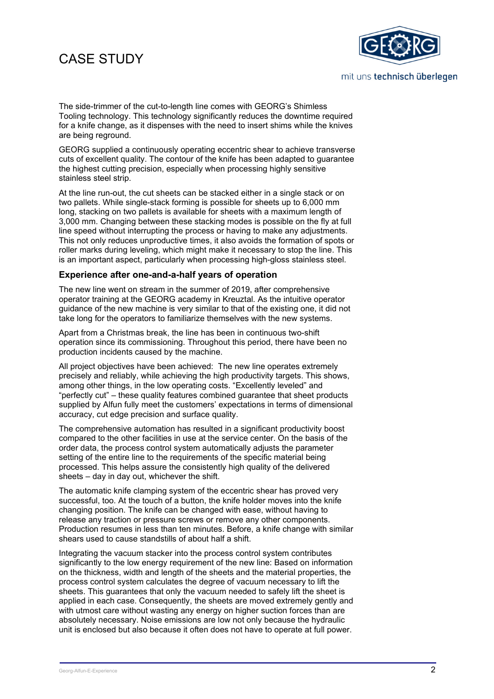## CASE STUDY



The side-trimmer of the cut-to-length line comes with GEORG's Shimless Tooling technology. This technology significantly reduces the downtime required for a knife change, as it dispenses with the need to insert shims while the knives are being reground.

GEORG supplied a continuously operating eccentric shear to achieve transverse cuts of excellent quality. The contour of the knife has been adapted to guarantee the highest cutting precision, especially when processing highly sensitive stainless steel strip.

At the line run-out, the cut sheets can be stacked either in a single stack or on two pallets. While single-stack forming is possible for sheets up to 6,000 mm long, stacking on two pallets is available for sheets with a maximum length of 3,000 mm. Changing between these stacking modes is possible on the fly at full line speed without interrupting the process or having to make any adjustments. This not only reduces unproductive times, it also avoids the formation of spots or roller marks during leveling, which might make it necessary to stop the line. This is an important aspect, particularly when processing high-gloss stainless steel.

#### **Experience after one-and-a-half years of operation**

The new line went on stream in the summer of 2019, after comprehensive operator training at the GEORG academy in Kreuztal. As the intuitive operator guidance of the new machine is very similar to that of the existing one, it did not take long for the operators to familiarize themselves with the new systems.

Apart from a Christmas break, the line has been in continuous two-shift operation since its commissioning. Throughout this period, there have been no production incidents caused by the machine.

All project objectives have been achieved: The new line operates extremely precisely and reliably, while achieving the high productivity targets. This shows, among other things, in the low operating costs. "Excellently leveled" and "perfectly cut" – these quality features combined guarantee that sheet products supplied by Alfun fully meet the customers' expectations in terms of dimensional accuracy, cut edge precision and surface quality.

The comprehensive automation has resulted in a significant productivity boost compared to the other facilities in use at the service center. On the basis of the order data, the process control system automatically adjusts the parameter setting of the entire line to the requirements of the specific material being processed. This helps assure the consistently high quality of the delivered sheets – day in day out, whichever the shift.

The automatic knife clamping system of the eccentric shear has proved very successful, too. At the touch of a button, the knife holder moves into the knife changing position. The knife can be changed with ease, without having to release any traction or pressure screws or remove any other components. Production resumes in less than ten minutes. Before, a knife change with similar shears used to cause standstills of about half a shift.

Integrating the vacuum stacker into the process control system contributes significantly to the low energy requirement of the new line: Based on information on the thickness, width and length of the sheets and the material properties, the process control system calculates the degree of vacuum necessary to lift the sheets. This guarantees that only the vacuum needed to safely lift the sheet is applied in each case. Consequently, the sheets are moved extremely gently and with utmost care without wasting any energy on higher suction forces than are absolutely necessary. Noise emissions are low not only because the hydraulic unit is enclosed but also because it often does not have to operate at full power.